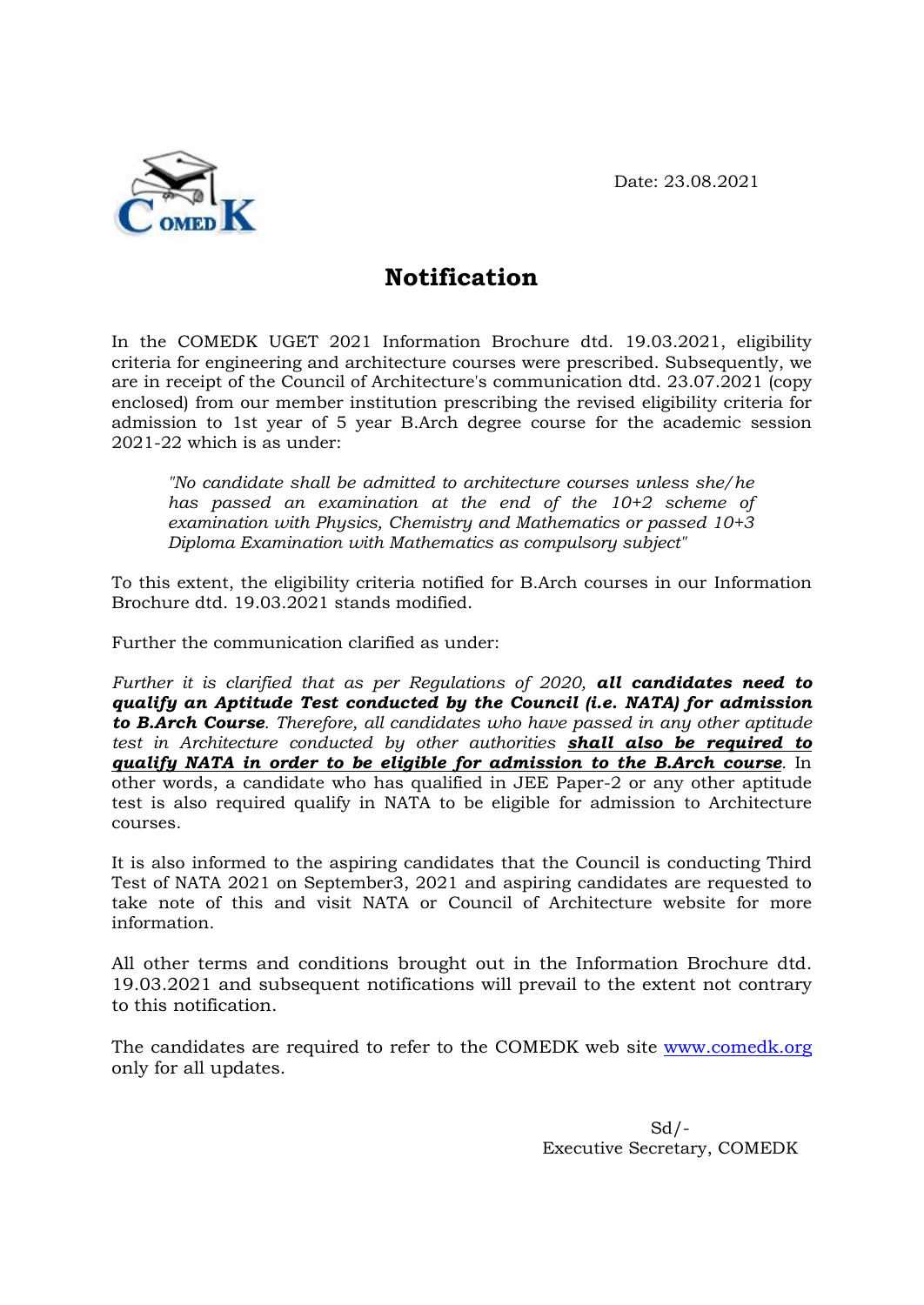Date: 23.08.2021



## **Notification**

In the COMEDK UGET 2021 Information Brochure dtd. 19.03.2021, eligibility criteria for engineering and architecture courses were prescribed. Subsequently, we are in receipt of the Council of Architecture's communication dtd. 23.07.2021 (copy enclosed) from our member institution prescribing the revised eligibility criteria for admission to 1st year of 5 year B.Arch degree course for the academic session 2021-22 which is as under:

*"No candidate shall be admitted to architecture courses unless she/he has passed an examination at the end of the 10+2 scheme of examination with Physics, Chemistry and Mathematics or passed 10+3 Diploma Examination with Mathematics as compulsory subject"*

To this extent, the eligibility criteria notified for B.Arch courses in our Information Brochure dtd. 19.03.2021 stands modified.

Further the communication clarified as under:

*Further it is clarified that as per Regulations of 2020, all candidates need to qualify an Aptitude Test conducted by the Council (i.e. NATA) for admission to B.Arch Course. Therefore, all candidates who have passed in any other aptitude test in Architecture conducted by other authorities shall also be required to qualify NATA in order to be eligible for admission to the B.Arch course.* In other words, a candidate who has qualified in JEE Paper-2 or any other aptitude test is also required qualify in NATA to be eligible for admission to Architecture courses.

It is also informed to the aspiring candidates that the Council is conducting Third Test of NATA 2021 on September3, 2021 and aspiring candidates are requested to take note of this and visit NATA or Council of Architecture website for more information.

All other terms and conditions brought out in the Information Brochure dtd. 19.03.2021 and subsequent notifications will prevail to the extent not contrary to this notification.

The candidates are required to refer to the COMEDK web site [www.comedk.org](http://www.comedk.org/) only for all updates.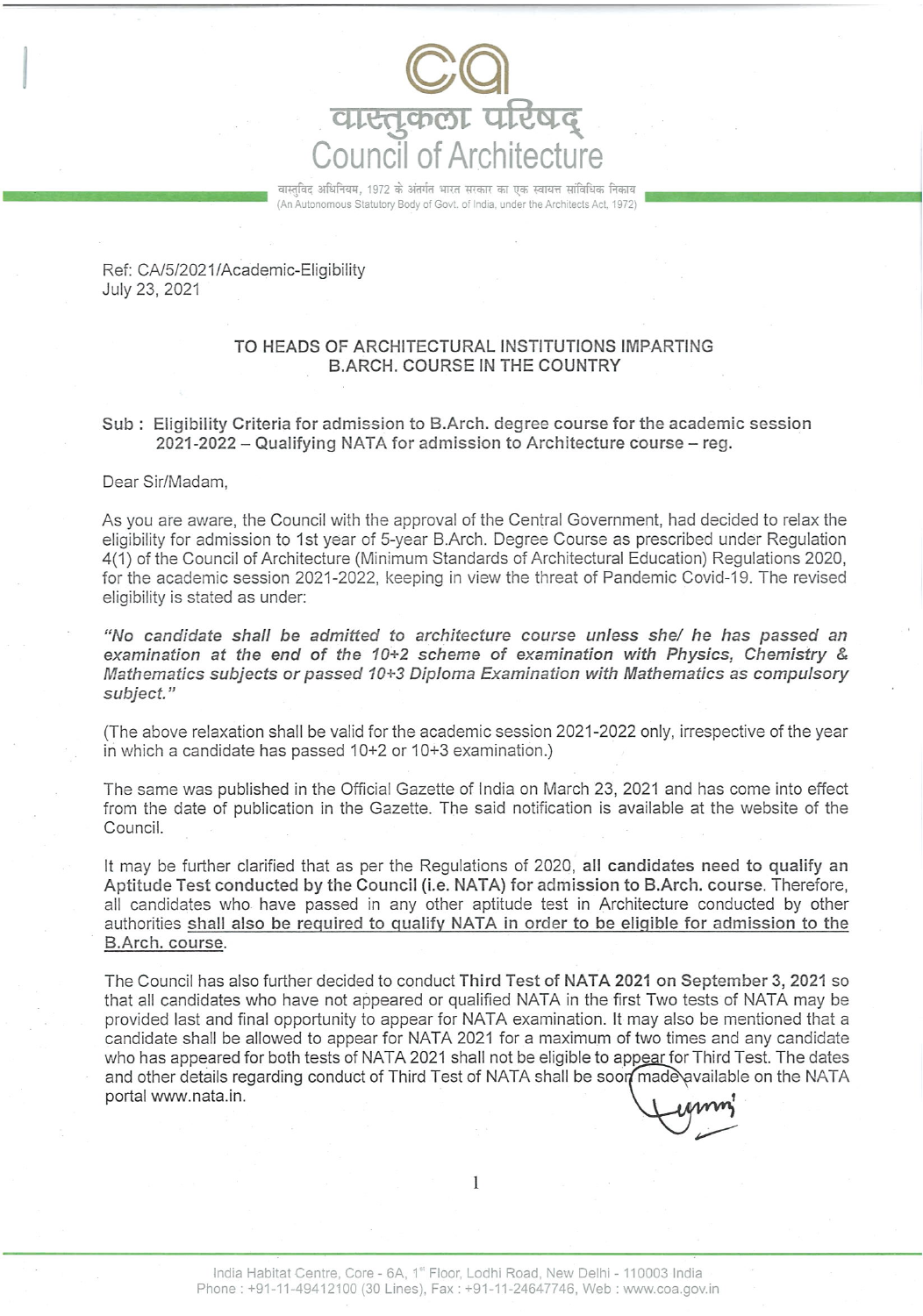

वास्तविद अधिनियम, 1972 के अंतर्गत भारत सरकार का एक स्वायत्त सांविधिक निकाय (An Autonomous Statutory Body of Govt. of India, under the Architects Act, 1972)

Ref: CA/5/2021/Academic-Eligibility July 23, 2021

## TO HEADS OF ARCHITECTURAL INSTITUTIONS IMPARTING **B.ARCH. COURSE IN THE COUNTRY**

## Sub: Eligibility Criteria for admission to B.Arch. degree course for the academic session 2021-2022 - Qualifying NATA for admission to Architecture course - reg.

Dear Sir/Madam,

As you are aware, the Council with the approval of the Central Government, had decided to relax the eligibility for admission to 1st year of 5-year B.Arch. Degree Course as prescribed under Regulation 4(1) of the Council of Architecture (Minimum Standards of Architectural Education) Regulations 2020, for the academic session 2021-2022, keeping in view the threat of Pandemic Covid-19. The revised eligibility is stated as under:

"No candidate shall be admitted to architecture course unless she/ he has passed an examination at the end of the  $10+2$  scheme of examination with Physics, Chemistry & Mathematics subjects or passed 10+3 Diploma Examination with Mathematics as compulsory subject."

(The above relaxation shall be valid for the academic session 2021-2022 only, irrespective of the year in which a candidate has passed 10+2 or 10+3 examination.)

The same was published in the Official Gazette of India on March 23, 2021 and has come into effect from the date of publication in the Gazette. The said notification is available at the website of the Council.

It may be further clarified that as per the Regulations of 2020, all candidates need to qualify an Aptitude Test conducted by the Council (i.e. NATA) for admission to B.Arch. course. Therefore, all candidates who have passed in any other aptitude test in Architecture conducted by other authorities shall also be required to qualify NATA in order to be eligible for admission to the B.Arch. course.

The Council has also further decided to conduct Third Test of NATA 2021 on September 3, 2021 so that all candidates who have not appeared or qualified NATA in the first Two tests of NATA may be provided last and final opportunity to appear for NATA examination. It may also be mentioned that a candidate shall be allowed to appear for NATA 2021 for a maximum of two times and any candidate who has appeared for both tests of NATA 2021 shall not be eligible to appear for Third Test. The dates and other details regarding conduct of Third Test of NATA shall be soon made available on the NATA portal www.nata.in.

 $\mathbf{1}$